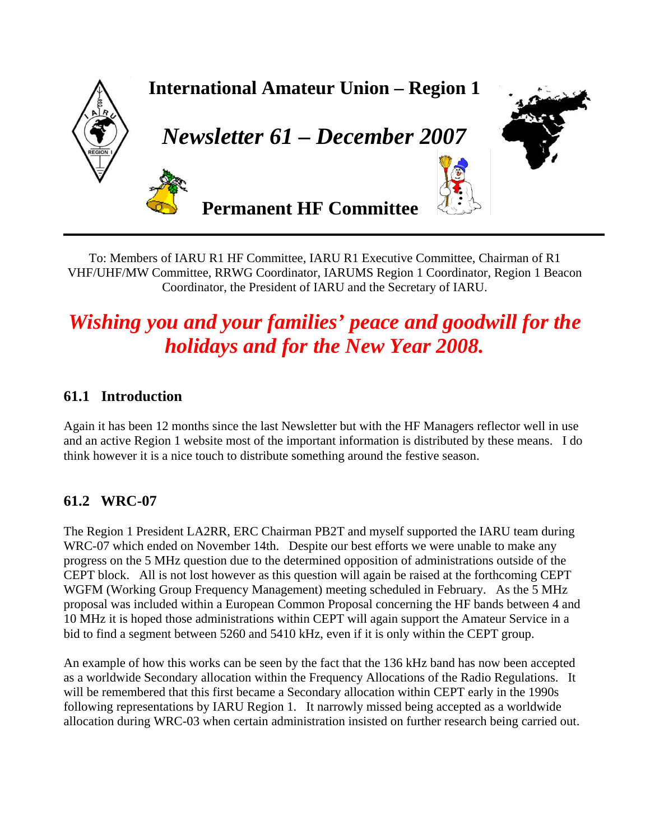

To: Members of IARU R1 HF Committee, IARU R1 Executive Committee, Chairman of R1 VHF/UHF/MW Committee, RRWG Coordinator, IARUMS Region 1 Coordinator, Region 1 Beacon Coordinator, the President of IARU and the Secretary of IARU.

# *Wishing you and your families' peace and goodwill for the holidays and for the New Year 2008.*

## **61.1 Introduction**

Again it has been 12 months since the last Newsletter but with the HF Managers reflector well in use and an active Region 1 website most of the important information is distributed by these means. I do think however it is a nice touch to distribute something around the festive season.

## **61.2 WRC-07**

The Region 1 President LA2RR, ERC Chairman PB2T and myself supported the IARU team during WRC-07 which ended on November 14th. Despite our best efforts we were unable to make any progress on the 5 MHz question due to the determined opposition of administrations outside of the CEPT block. All is not lost however as this question will again be raised at the forthcoming CEPT WGFM (Working Group Frequency Management) meeting scheduled in February. As the 5 MHz proposal was included within a European Common Proposal concerning the HF bands between 4 and 10 MHz it is hoped those administrations within CEPT will again support the Amateur Service in a bid to find a segment between 5260 and 5410 kHz, even if it is only within the CEPT group.

An example of how this works can be seen by the fact that the 136 kHz band has now been accepted as a worldwide Secondary allocation within the Frequency Allocations of the Radio Regulations. It will be remembered that this first became a Secondary allocation within CEPT early in the 1990s following representations by IARU Region 1. It narrowly missed being accepted as a worldwide allocation during WRC-03 when certain administration insisted on further research being carried out.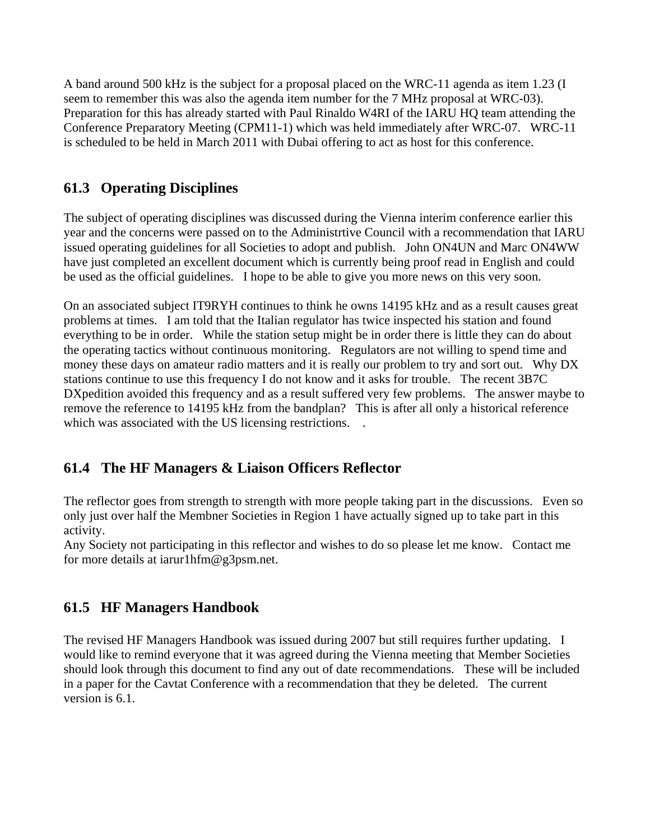A band around 500 kHz is the subject for a proposal placed on the WRC-11 agenda as item 1.23 (I seem to remember this was also the agenda item number for the 7 MHz proposal at WRC-03). Preparation for this has already started with Paul Rinaldo W4RI of the IARU HQ team attending the Conference Preparatory Meeting (CPM11-1) which was held immediately after WRC-07. WRC-11 is scheduled to be held in March 2011 with Dubai offering to act as host for this conference.

# **61.3 Operating Disciplines**

The subject of operating disciplines was discussed during the Vienna interim conference earlier this year and the concerns were passed on to the Administrtive Council with a recommendation that IARU issued operating guidelines for all Societies to adopt and publish. John ON4UN and Marc ON4WW have just completed an excellent document which is currently being proof read in English and could be used as the official guidelines. I hope to be able to give you more news on this very soon.

On an associated subject IT9RYH continues to think he owns 14195 kHz and as a result causes great problems at times. I am told that the Italian regulator has twice inspected his station and found everything to be in order. While the station setup might be in order there is little they can do about the operating tactics without continuous monitoring. Regulators are not willing to spend time and money these days on amateur radio matters and it is really our problem to try and sort out. Why DX stations continue to use this frequency I do not know and it asks for trouble. The recent 3B7C DXpedition avoided this frequency and as a result suffered very few problems. The answer maybe to remove the reference to 14195 kHz from the bandplan? This is after all only a historical reference which was associated with the US licensing restrictions. .

# **61.4 The HF Managers & Liaison Officers Reflector**

The reflector goes from strength to strength with more people taking part in the discussions. Even so only just over half the Membner Societies in Region 1 have actually signed up to take part in this activity.

Any Society not participating in this reflector and wishes to do so please let me know. Contact me for more details at iarur1hfm@g3psm.net.

## **61.5 HF Managers Handbook**

The revised HF Managers Handbook was issued during 2007 but still requires further updating. I would like to remind everyone that it was agreed during the Vienna meeting that Member Societies should look through this document to find any out of date recommendations. These will be included in a paper for the Cavtat Conference with a recommendation that they be deleted. The current version is 6.1.